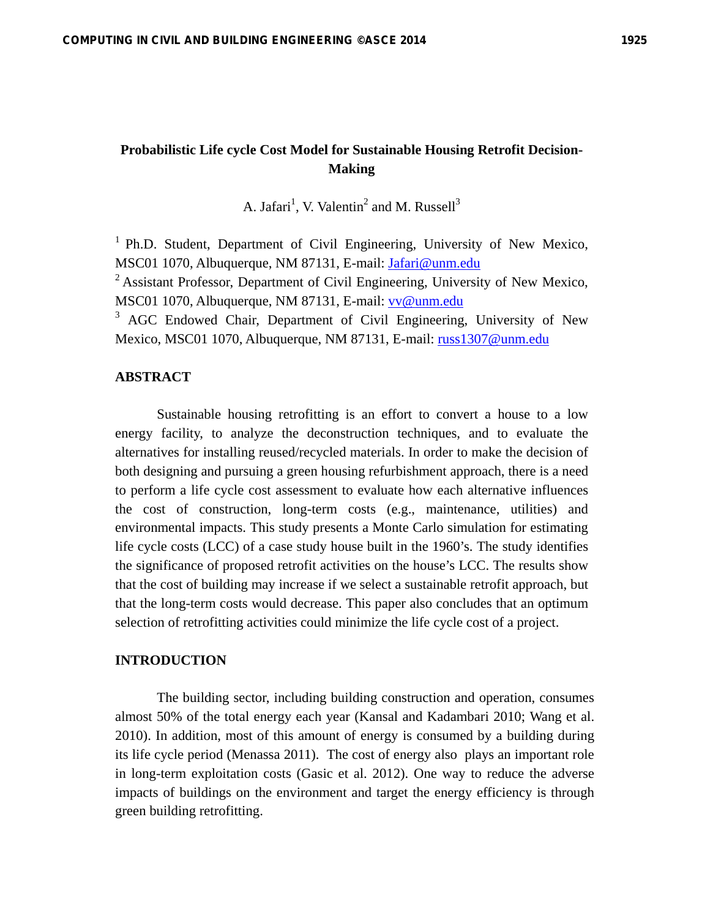# **Probabilistic Life cycle Cost Model for Sustainable Housing Retrofit Decision-Making**

A. Jafari<sup>1</sup>, V. Valentin<sup>2</sup> and M. Russell<sup>3</sup>

 $1$  Ph.D. Student, Department of Civil Engineering, University of New Mexico, MSC01 1070, Albuquerque, NM 87131, E-mail: Jafari@unm.edu

<sup>2</sup> Assistant Professor, Department of Civil Engineering, University of New Mexico, MSC01 1070, Albuquerque, NM 87131, E-mail: vv@unm.edu

<sup>3</sup> AGC Endowed Chair, Department of Civil Engineering, University of New Mexico, MSC01 1070, Albuquerque, NM 87131, E-mail: russ1307@unm.edu

# **ABSTRACT**

Sustainable housing retrofitting is an effort to convert a house to a low energy facility, to analyze the deconstruction techniques, and to evaluate the alternatives for installing reused/recycled materials. In order to make the decision of both designing and pursuing a green housing refurbishment approach, there is a need to perform a life cycle cost assessment to evaluate how each alternative influences the cost of construction, long-term costs (e.g., maintenance, utilities) and environmental impacts. This study presents a Monte Carlo simulation for estimating life cycle costs (LCC) of a case study house built in the 1960's. The study identifies the significance of proposed retrofit activities on the house's LCC. The results show that the cost of building may increase if we select a sustainable retrofit approach, but that the long-term costs would decrease. This paper also concludes that an optimum selection of retrofitting activities could minimize the life cycle cost of a project.

# **INTRODUCTION**

The building sector, including building construction and operation, consumes almost 50% of the total energy each year (Kansal and Kadambari 2010; Wang et al. 2010). In addition, most of this amount of energy is consumed by a building during its life cycle period (Menassa 2011). The cost of energy also plays an important role in long-term exploitation costs (Gasic et al. 2012). One way to reduce the adverse impacts of buildings on the environment and target the energy efficiency is through green building retrofitting.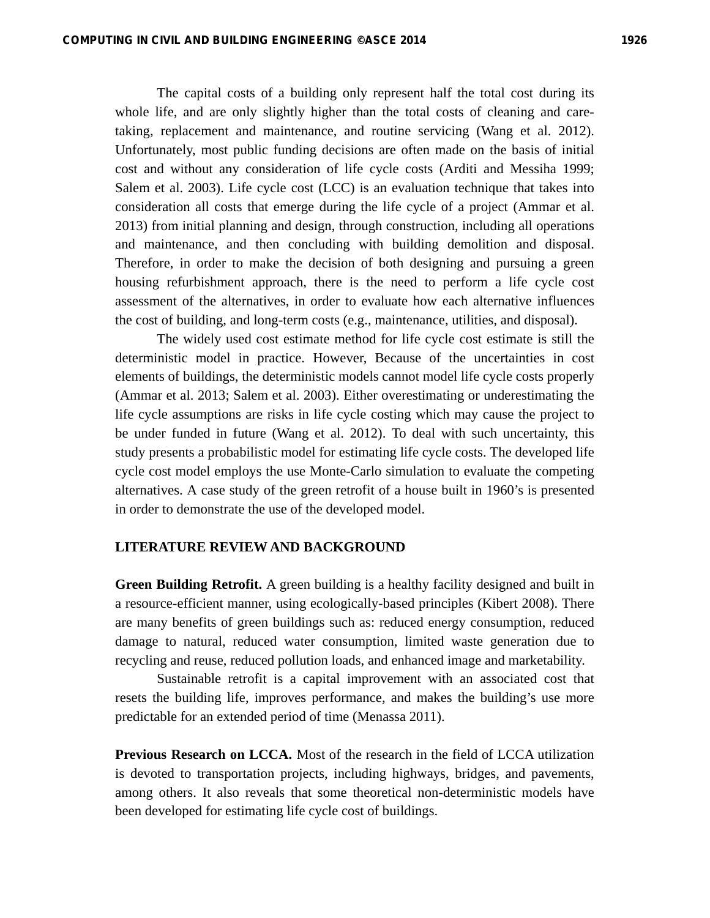The capital costs of a building only represent half the total cost during its whole life, and are only slightly higher than the total costs of cleaning and caretaking, replacement and maintenance, and routine servicing (Wang et al. 2012). Unfortunately, most public funding decisions are often made on the basis of initial cost and without any consideration of life cycle costs (Arditi and Messiha 1999; Salem et al. 2003). Life cycle cost (LCC) is an evaluation technique that takes into consideration all costs that emerge during the life cycle of a project (Ammar et al. 2013) from initial planning and design, through construction, including all operations and maintenance, and then concluding with building demolition and disposal. Therefore, in order to make the decision of both designing and pursuing a green housing refurbishment approach, there is the need to perform a life cycle cost assessment of the alternatives, in order to evaluate how each alternative influences the cost of building, and long-term costs (e.g., maintenance, utilities, and disposal).

The widely used cost estimate method for life cycle cost estimate is still the deterministic model in practice. However, Because of the uncertainties in cost elements of buildings, the deterministic models cannot model life cycle costs properly (Ammar et al. 2013; Salem et al. 2003). Either overestimating or underestimating the life cycle assumptions are risks in life cycle costing which may cause the project to be under funded in future (Wang et al. 2012). To deal with such uncertainty, this study presents a probabilistic model for estimating life cycle costs. The developed life cycle cost model employs the use Monte-Carlo simulation to evaluate the competing alternatives. A case study of the green retrofit of a house built in 1960's is presented in order to demonstrate the use of the developed model.

#### **LITERATURE REVIEW AND BACKGROUND**

**Green Building Retrofit.** A green building is a healthy facility designed and built in a resource-efficient manner, using ecologically-based principles (Kibert 2008). There are many benefits of green buildings such as: reduced energy consumption, reduced damage to natural, reduced water consumption, limited waste generation due to recycling and reuse, reduced pollution loads, and enhanced image and marketability.

Sustainable retrofit is a capital improvement with an associated cost that resets the building life, improves performance, and makes the building's use more predictable for an extended period of time (Menassa 2011).

**Previous Research on LCCA.** Most of the research in the field of LCCA utilization is devoted to transportation projects, including highways, bridges, and pavements, among others. It also reveals that some theoretical non-deterministic models have been developed for estimating life cycle cost of buildings.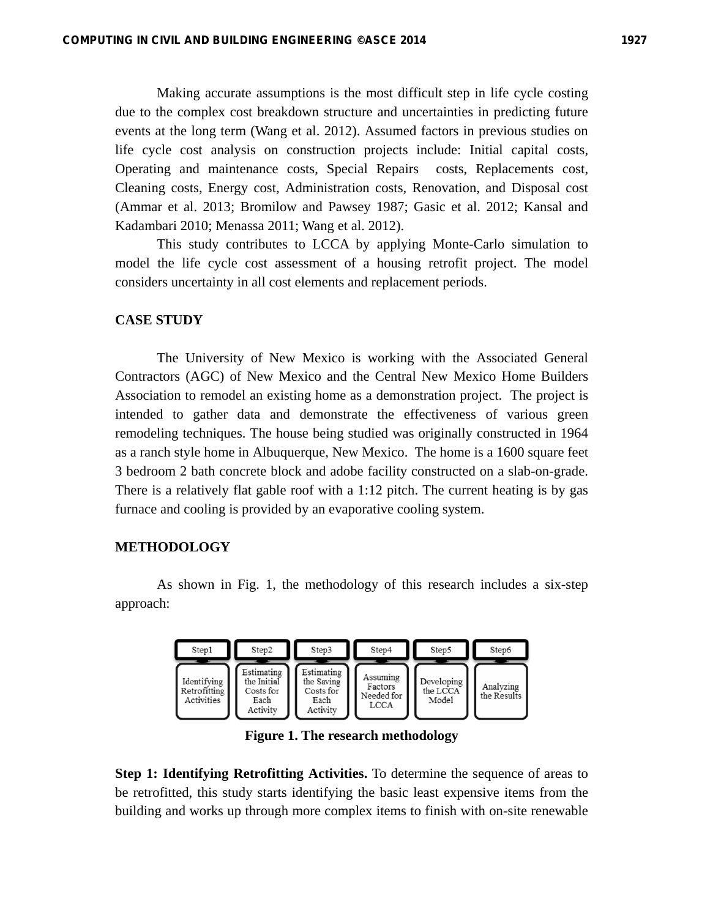Making accurate assumptions is the most difficult step in life cycle costing due to the complex cost breakdown structure and uncertainties in predicting future events at the long term (Wang et al. 2012). Assumed factors in previous studies on life cycle cost analysis on construction projects include: Initial capital costs, Operating and maintenance costs, Special Repairs costs, Replacements cost, Cleaning costs, Energy cost, Administration costs, Renovation, and Disposal cost (Ammar et al. 2013; Bromilow and Pawsey 1987; Gasic et al. 2012; Kansal and Kadambari 2010; Menassa 2011; Wang et al. 2012).

This study contributes to LCCA by applying Monte-Carlo simulation to model the life cycle cost assessment of a housing retrofit project. The model considers uncertainty in all cost elements and replacement periods.

#### **CASE STUDY**

The University of New Mexico is working with the Associated General Contractors (AGC) of New Mexico and the Central New Mexico Home Builders Association to remodel an existing home as a demonstration project. The project is intended to gather data and demonstrate the effectiveness of various green remodeling techniques. The house being studied was originally constructed in 1964 as a ranch style home in Albuquerque, New Mexico. The home is a 1600 square feet 3 bedroom 2 bath concrete block and adobe facility constructed on a slab-on-grade. There is a relatively flat gable roof with a 1:12 pitch. The current heating is by gas furnace and cooling is provided by an evaporative cooling system.

#### **METHODOLOGY**

As shown in Fig. 1, the methodology of this research includes a six-step approach:



**Figure 1. The research methodology** 

**Step 1: Identifying Retrofitting Activities.** To determine the sequence of areas to be retrofitted, this study starts identifying the basic least expensive items from the building and works up through more complex items to finish with on-site renewable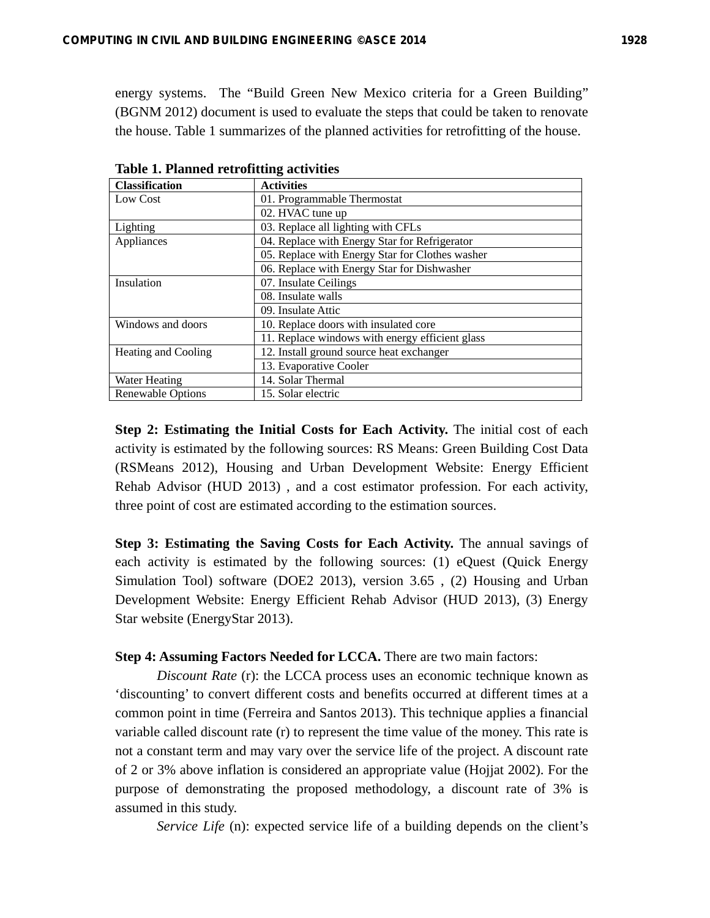energy systems. The "Build Green New Mexico criteria for a Green Building" (BGNM 2012) document is used to evaluate the steps that could be taken to renovate the house. Table 1 summarizes of the planned activities for retrofitting of the house.

| <b>Activities</b>                               |  |  |  |  |  |
|-------------------------------------------------|--|--|--|--|--|
| 01. Programmable Thermostat                     |  |  |  |  |  |
| 02. HVAC tune up                                |  |  |  |  |  |
| 03. Replace all lighting with CFLs              |  |  |  |  |  |
| 04. Replace with Energy Star for Refrigerator   |  |  |  |  |  |
| 05. Replace with Energy Star for Clothes washer |  |  |  |  |  |
| 06. Replace with Energy Star for Dishwasher     |  |  |  |  |  |
| 07. Insulate Ceilings                           |  |  |  |  |  |
| 08. Insulate walls                              |  |  |  |  |  |
| 09. Insulate Attic                              |  |  |  |  |  |
| 10. Replace doors with insulated core           |  |  |  |  |  |
| 11. Replace windows with energy efficient glass |  |  |  |  |  |
| 12. Install ground source heat exchanger        |  |  |  |  |  |
| 13. Evaporative Cooler                          |  |  |  |  |  |
| 14. Solar Thermal                               |  |  |  |  |  |
| 15. Solar electric                              |  |  |  |  |  |
|                                                 |  |  |  |  |  |

**Table 1. Planned retrofitting activities** 

**Step 2: Estimating the Initial Costs for Each Activity.** The initial cost of each activity is estimated by the following sources: RS Means: Green Building Cost Data (RSMeans 2012), Housing and Urban Development Website: Energy Efficient Rehab Advisor (HUD 2013) , and a cost estimator profession. For each activity, three point of cost are estimated according to the estimation sources.

**Step 3: Estimating the Saving Costs for Each Activity.** The annual savings of each activity is estimated by the following sources: (1) eQuest (Quick Energy Simulation Tool) software (DOE2 2013), version 3.65 , (2) Housing and Urban Development Website: Energy Efficient Rehab Advisor (HUD 2013), (3) Energy Star website (EnergyStar 2013).

**Step 4: Assuming Factors Needed for LCCA.** There are two main factors:

*Discount Rate* (r): the LCCA process uses an economic technique known as 'discounting' to convert different costs and benefits occurred at different times at a common point in time (Ferreira and Santos 2013). This technique applies a financial variable called discount rate (r) to represent the time value of the money. This rate is not a constant term and may vary over the service life of the project. A discount rate of 2 or 3% above inflation is considered an appropriate value (Hojjat 2002). For the purpose of demonstrating the proposed methodology, a discount rate of 3% is assumed in this study.

*Service Life* (n): expected service life of a building depends on the client's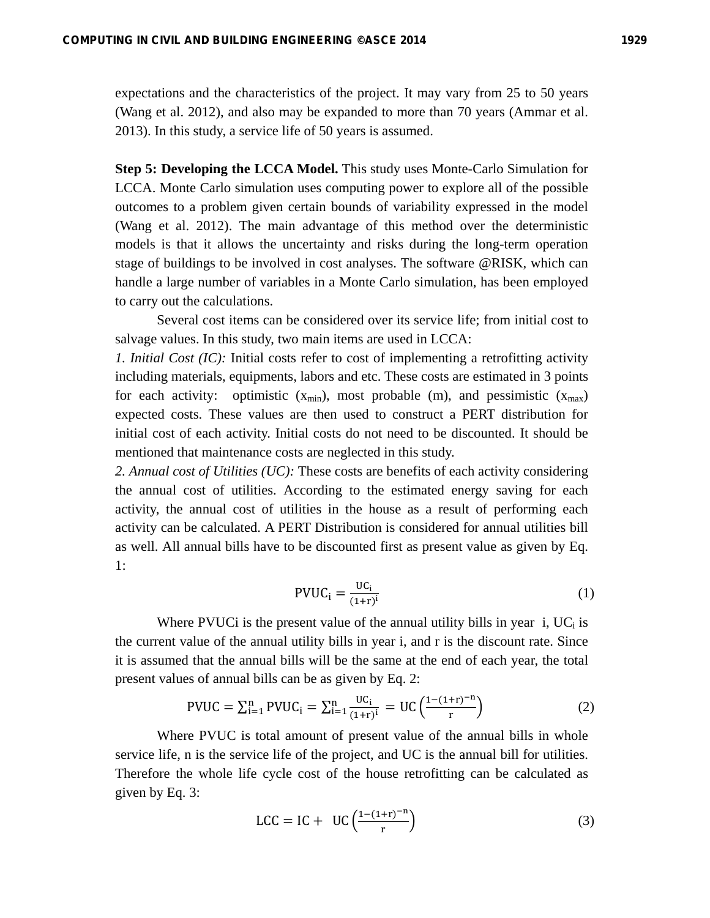expectations and the characteristics of the project. It may vary from 25 to 50 years (Wang et al. 2012), and also may be expanded to more than 70 years (Ammar et al. 2013). In this study, a service life of 50 years is assumed.

**Step 5: Developing the LCCA Model.** This study uses Monte-Carlo Simulation for LCCA. Monte Carlo simulation uses computing power to explore all of the possible outcomes to a problem given certain bounds of variability expressed in the model (Wang et al. 2012). The main advantage of this method over the deterministic models is that it allows the uncertainty and risks during the long-term operation stage of buildings to be involved in cost analyses. The software @RISK, which can handle a large number of variables in a Monte Carlo simulation, has been employed to carry out the calculations.

Several cost items can be considered over its service life; from initial cost to salvage values. In this study, two main items are used in LCCA:

*1. Initial Cost (IC):* Initial costs refer to cost of implementing a retrofitting activity including materials, equipments, labors and etc. These costs are estimated in 3 points for each activity: optimistic  $(x_{min})$ , most probable (m), and pessimistic  $(x_{max})$ expected costs. These values are then used to construct a PERT distribution for initial cost of each activity. Initial costs do not need to be discounted. It should be mentioned that maintenance costs are neglected in this study.

*2. Annual cost of Utilities (UC):* These costs are benefits of each activity considering the annual cost of utilities. According to the estimated energy saving for each activity, the annual cost of utilities in the house as a result of performing each activity can be calculated. A PERT Distribution is considered for annual utilities bill as well. All annual bills have to be discounted first as present value as given by Eq. 1:

$$
PVUC_i = \frac{UC_i}{(1+r)^i}
$$
 (1)

Where PVUCi is the present value of the annual utility bills in year i,  $UC_i$  is the current value of the annual utility bills in year i, and r is the discount rate. Since it is assumed that the annual bills will be the same at the end of each year, the total present values of annual bills can be as given by Eq. 2:

$$
PVUC = \sum_{i=1}^{n} PVUC_i = \sum_{i=1}^{n} \frac{UC_i}{(1+r)^i} = UC\left(\frac{1-(1+r)^{-n}}{r}\right)
$$
 (2)

Where PVUC is total amount of present value of the annual bills in whole service life, n is the service life of the project, and UC is the annual bill for utilities. Therefore the whole life cycle cost of the house retrofitting can be calculated as given by Eq. 3:

$$
\text{LCC} = \text{IC} + \text{UC} \left( \frac{1 - (1 + r)^{-n}}{r} \right) \tag{3}
$$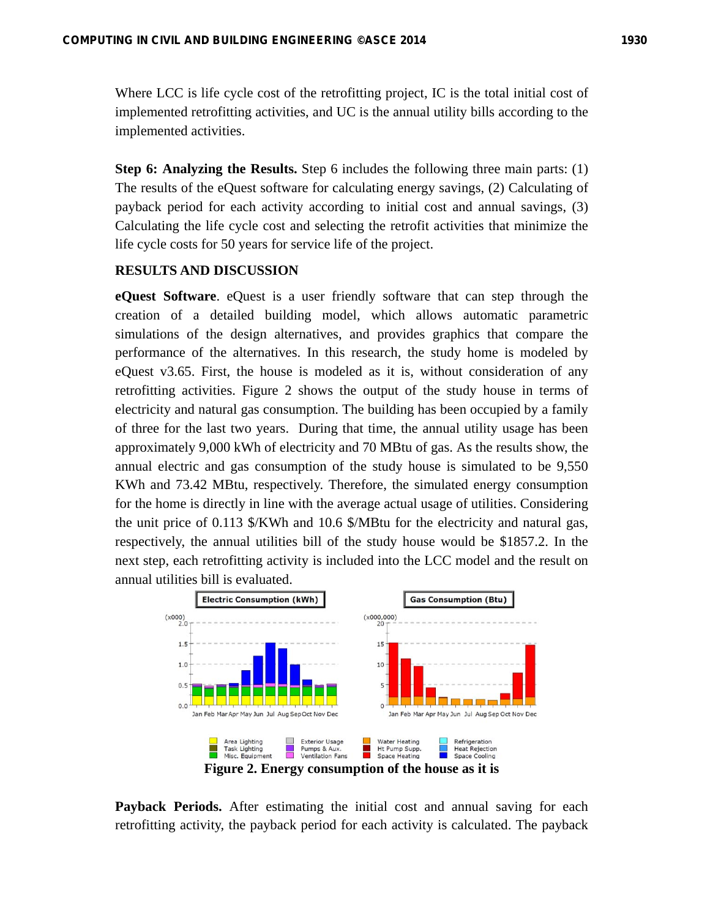Where LCC is life cycle cost of the retrofitting project, IC is the total initial cost of implemented retrofitting activities, and UC is the annual utility bills according to the implemented activities.

**Step 6: Analyzing the Results.** Step 6 includes the following three main parts: (1) The results of the eQuest software for calculating energy savings, (2) Calculating of payback period for each activity according to initial cost and annual savings, (3) Calculating the life cycle cost and selecting the retrofit activities that minimize the life cycle costs for 50 years for service life of the project.

### **RESULTS AND DISCUSSION**

**eQuest Software**. eQuest is a user friendly software that can step through the creation of a detailed building model, which allows automatic parametric simulations of the design alternatives, and provides graphics that compare the performance of the alternatives. In this research, the study home is modeled by eQuest v3.65. First, the house is modeled as it is, without consideration of any retrofitting activities. Figure 2 shows the output of the study house in terms of electricity and natural gas consumption. The building has been occupied by a family of three for the last two years. During that time, the annual utility usage has been approximately 9,000 kWh of electricity and 70 MBtu of gas. As the results show, the annual electric and gas consumption of the study house is simulated to be 9,550 KWh and 73.42 MBtu, respectively. Therefore, the simulated energy consumption for the home is directly in line with the average actual usage of utilities. Considering the unit price of 0.113 \$/KWh and 10.6 \$/MBtu for the electricity and natural gas, respectively, the annual utilities bill of the study house would be \$1857.2. In the next step, each retrofitting activity is included into the LCC model and the result on annual utilities bill is evaluated.



**Payback Periods.** After estimating the initial cost and annual saving for each retrofitting activity, the payback period for each activity is calculated. The payback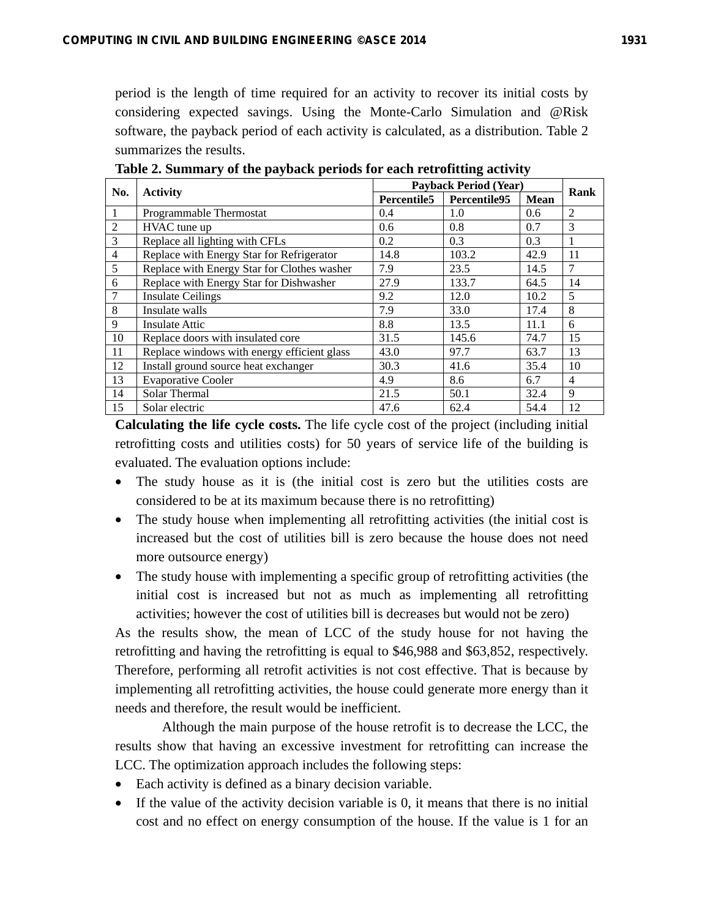period is the length of time required for an activity to recover its initial costs by considering expected savings. Using the Monte-Carlo Simulation and @Risk software, the payback period of each activity is calculated, as a distribution. Table 2 summarizes the results.

| No.            |                                             |             | <b>Payback Period (Year)</b> |      |                |
|----------------|---------------------------------------------|-------------|------------------------------|------|----------------|
|                | <b>Activity</b>                             | Percentile5 | Percentile95                 | Mean | Rank           |
|                | Programmable Thermostat                     | 0.4         | 1.0                          | 0.6  | 2              |
| $\overline{2}$ | HVAC tune up                                | 0.6         | 0.8                          | 0.7  | 3              |
| 3              | Replace all lighting with CFLs              | 0.2         | 0.3                          | 0.3  | 1              |
| $\overline{4}$ | Replace with Energy Star for Refrigerator   | 14.8        | 103.2                        | 42.9 | 11             |
| 5              | Replace with Energy Star for Clothes washer | 7.9         | 23.5                         | 14.5 | $\tau$         |
| 6              | Replace with Energy Star for Dishwasher     | 27.9        | 133.7                        | 64.5 | 14             |
| $\overline{7}$ | <b>Insulate Ceilings</b>                    | 9.2         | 12.0                         | 10.2 | 5              |
| 8              | Insulate walls                              | 7.9         | 33.0                         | 17.4 | 8              |
| 9              | <b>Insulate Attic</b>                       | 8.8         | 13.5                         | 11.1 | 6              |
| 10             | Replace doors with insulated core           | 31.5        | 145.6                        | 74.7 | 15             |
| 11             | Replace windows with energy efficient glass | 43.0        | 97.7                         | 63.7 | 13             |
| 12             | Install ground source heat exchanger        | 30.3        | 41.6                         | 35.4 | 10             |
| 13             | <b>Evaporative Cooler</b>                   | 4.9         | 8.6                          | 6.7  | $\overline{4}$ |
| 14             | Solar Thermal                               | 21.5        | 50.1                         | 32.4 | 9              |
| 15             | Solar electric                              | 47.6        | 62.4                         | 54.4 | 12             |

**Table 2. Summary of the payback periods for each retrofitting activity** 

**Calculating the life cycle costs.** The life cycle cost of the project (including initial retrofitting costs and utilities costs) for 50 years of service life of the building is evaluated. The evaluation options include:

- The study house as it is (the initial cost is zero but the utilities costs are considered to be at its maximum because there is no retrofitting)
- The study house when implementing all retrofitting activities (the initial cost is increased but the cost of utilities bill is zero because the house does not need more outsource energy)
- The study house with implementing a specific group of retrofitting activities (the initial cost is increased but not as much as implementing all retrofitting activities; however the cost of utilities bill is decreases but would not be zero)

As the results show, the mean of LCC of the study house for not having the retrofitting and having the retrofitting is equal to \$46,988 and \$63,852, respectively. Therefore, performing all retrofit activities is not cost effective. That is because by implementing all retrofitting activities, the house could generate more energy than it needs and therefore, the result would be inefficient.

Although the main purpose of the house retrofit is to decrease the LCC, the results show that having an excessive investment for retrofitting can increase the LCC. The optimization approach includes the following steps:

- Each activity is defined as a binary decision variable.
- If the value of the activity decision variable is 0, it means that there is no initial cost and no effect on energy consumption of the house. If the value is 1 for an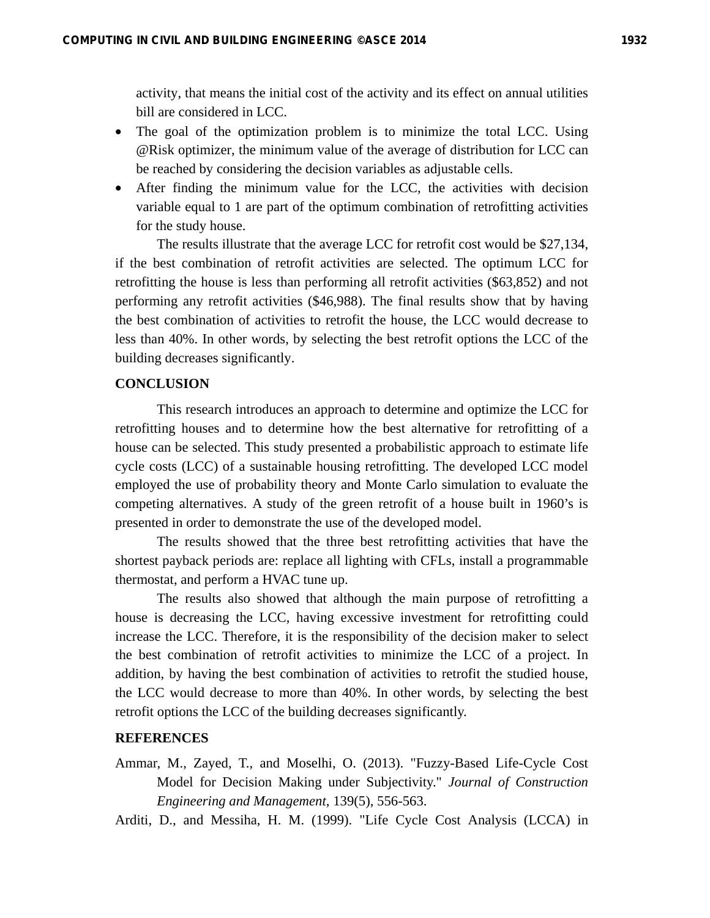activity, that means the initial cost of the activity and its effect on annual utilities bill are considered in LCC.

- The goal of the optimization problem is to minimize the total LCC. Using @Risk optimizer, the minimum value of the average of distribution for LCC can be reached by considering the decision variables as adjustable cells.
- After finding the minimum value for the LCC, the activities with decision variable equal to 1 are part of the optimum combination of retrofitting activities for the study house.

The results illustrate that the average LCC for retrofit cost would be \$27,134, if the best combination of retrofit activities are selected. The optimum LCC for retrofitting the house is less than performing all retrofit activities (\$63,852) and not performing any retrofit activities (\$46,988). The final results show that by having the best combination of activities to retrofit the house, the LCC would decrease to less than 40%. In other words, by selecting the best retrofit options the LCC of the building decreases significantly.

# **CONCLUSION**

This research introduces an approach to determine and optimize the LCC for retrofitting houses and to determine how the best alternative for retrofitting of a house can be selected. This study presented a probabilistic approach to estimate life cycle costs (LCC) of a sustainable housing retrofitting. The developed LCC model employed the use of probability theory and Monte Carlo simulation to evaluate the competing alternatives. A study of the green retrofit of a house built in 1960's is presented in order to demonstrate the use of the developed model.

The results showed that the three best retrofitting activities that have the shortest payback periods are: replace all lighting with CFLs, install a programmable thermostat, and perform a HVAC tune up.

The results also showed that although the main purpose of retrofitting a house is decreasing the LCC, having excessive investment for retrofitting could increase the LCC. Therefore, it is the responsibility of the decision maker to select the best combination of retrofit activities to minimize the LCC of a project. In addition, by having the best combination of activities to retrofit the studied house, the LCC would decrease to more than 40%. In other words, by selecting the best retrofit options the LCC of the building decreases significantly.

#### **REFERENCES**

Ammar, M., Zayed, T., and Moselhi, O. (2013). "Fuzzy-Based Life-Cycle Cost Model for Decision Making under Subjectivity." *Journal of Construction Engineering and Management*, 139(5), 556-563.

Arditi, D., and Messiha, H. M. (1999). "Life Cycle Cost Analysis (LCCA) in